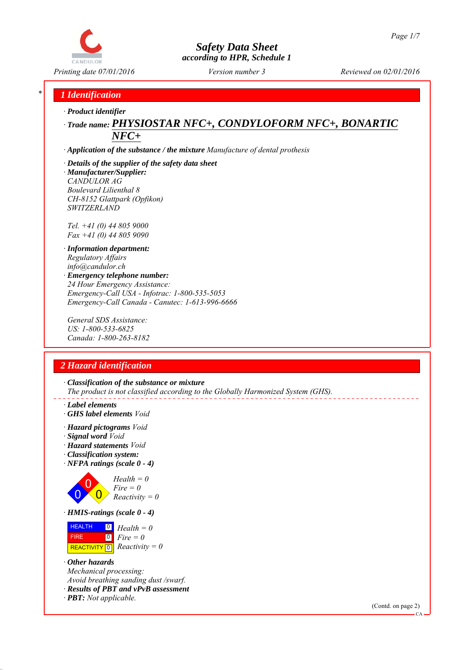

*Printing date 07/01/2016 Reviewed on 02/01/2016 Version number 3*

## *\* 1 Identification*

*∙ Product identifier*

# *∙ Trade name: PHYSIOSTAR NFC+, CONDYLOFORM NFC+, BONARTIC NFC+*

*∙ Application of the substance / the mixture Manufacture of dental prothesis*

## *∙ Details of the supplier of the safety data sheet*

*∙ Manufacturer/Supplier: CANDULOR AG Boulevard Lilienthal 8 CH-8152 Glattpark (Opfikon) SWITZERLAND*

*Tel. +41 (0) 44 805 9000 Fax +41 (0) 44 805 9090*

*∙ Information department: Regulatory Affairs info@candulor.ch ∙ Emergency telephone number: 24 Hour Emergency Assistance: Emergency-Call USA - Infotrac: 1-800-535-5053 Emergency-Call Canada - Canutec: 1-613-996-6666*

*General SDS Assistance: US: 1-800-533-6825 Canada: 1-800-263-8182*

## *2 Hazard identification*

*∙ Classification of the substance or mixture The product is not classified according to the Globally Harmonized System (GHS).*

- *∙ Label elements*
- *∙ GHS label elements Void*
- *∙ Hazard pictograms Void*
- *∙ Signal word Void*
- *∙ Hazard statements Void*
- *∙ Classification system:*
- *∙ NFPA ratings (scale 0 4)*



*Health = 0 Fire = 0 Reactivity = 0*

*∙ HMIS-ratings (scale 0 - 4)*

**HEALTH FIRE**  $\boxed{\text{REACTIVITY} \boxed{0}}$  Reactivity = 0 0 *Health = 0* 0 *Fire = 0*

*∙ Other hazards Mechanical processing: Avoid breathing sanding dust /swarf. ∙ Results of PBT and vPvB assessment*

*∙ PBT: Not applicable.*

(Contd. on page 2)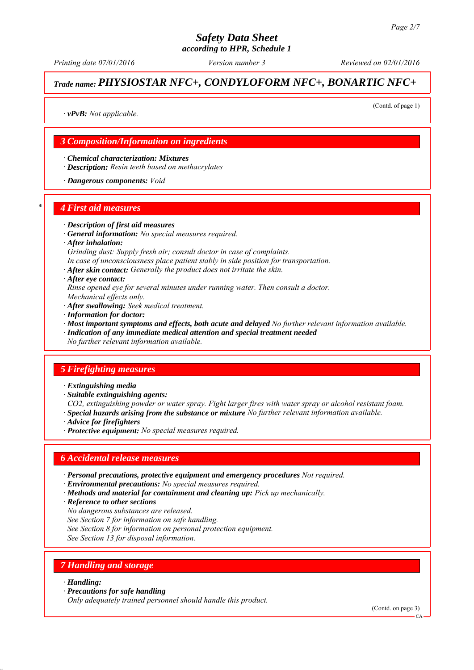*Printing date 07/01/2016 Reviewed on 02/01/2016 Version number 3*

# *Trade name: PHYSIOSTAR NFC+, CONDYLOFORM NFC+, BONARTIC NFC+*

(Contd. of page 1)

*∙ vPvB: Not applicable.*

### *3 Composition/Information on ingredients*

*∙ Chemical characterization: Mixtures*

*∙ Description: Resin teeth based on methacrylates*

*∙ Dangerous components: Void*

#### *\* 4 First aid measures*

- *∙ Description of first aid measures*
- *∙ General information: No special measures required.*
- *∙ After inhalation:*
- *Grinding dust: Supply fresh air; consult doctor in case of complaints.*
- *In case of unconsciousness place patient stably in side position for transportation.*
- *∙ After skin contact: Generally the product does not irritate the skin.*
- *∙ After eye contact:*
- *Rinse opened eye for several minutes under running water. Then consult a doctor. Mechanical effects only.*
- *∙ After swallowing: Seek medical treatment.*
- *∙ Information for doctor:*
- *∙ Most important symptoms and effects, both acute and delayed No further relevant information available.*
- *∙ Indication of any immediate medical attention and special treatment needed*
- *No further relevant information available.*

#### *5 Firefighting measures*

- *∙ Extinguishing media*
- *∙ Suitable extinguishing agents:*
- *CO2, extinguishing powder or water spray. Fight larger fires with water spray or alcohol resistant foam.*
- *∙ Special hazards arising from the substance or mixture No further relevant information available.*
- *∙ Advice for firefighters*
- *∙ Protective equipment: No special measures required.*

#### *6 Accidental release measures*

- *∙ Personal precautions, protective equipment and emergency procedures Not required.*
- *∙ Environmental precautions: No special measures required.*
- *∙ Methods and material for containment and cleaning up: Pick up mechanically.*
- *∙ Reference to other sections*
- *No dangerous substances are released.*
- *See Section 7 for information on safe handling.*
- *See Section 8 for information on personal protection equipment.*
- *See Section 13 for disposal information.*

## *7 Handling and storage*

#### *∙ Handling:*

*∙ Precautions for safe handling*

*Only adequately trained personnel should handle this product.*

(Contd. on page 3)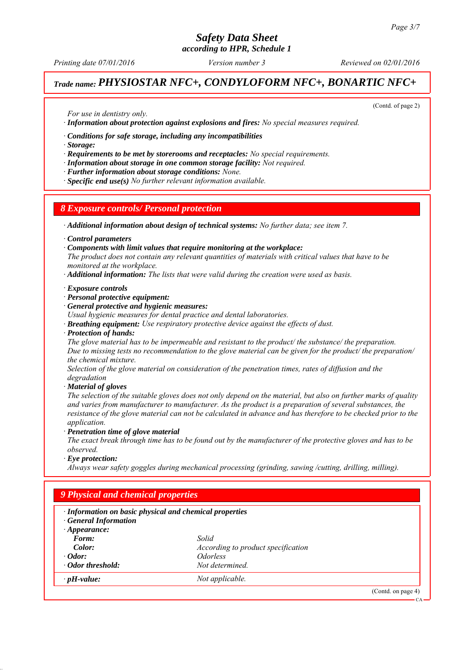# *Safety Data Sheet*

*according to HPR, Schedule 1*

*Printing date 07/01/2016 Reviewed on 02/01/2016 Version number 3*

# *Trade name: PHYSIOSTAR NFC+, CONDYLOFORM NFC+, BONARTIC NFC+*

(Contd. of page 2)

*For use in dentistry only.*

*∙ Information about protection against explosions and fires: No special measures required.*

*∙ Conditions for safe storage, including any incompatibilities*

*∙ Storage:*

*∙ Requirements to be met by storerooms and receptacles: No special requirements.*

*∙ Information about storage in one common storage facility: Not required.*

*∙ Further information about storage conditions: None.*

*∙ Specific end use(s) No further relevant information available.*

#### *8 Exposure controls/ Personal protection*

*∙ Additional information about design of technical systems: No further data; see item 7.*

*∙ Control parameters*

*∙ Components with limit values that require monitoring at the workplace:*

*The product does not contain any relevant quantities of materials with critical values that have to be monitored at the workplace.*

*∙ Additional information: The lists that were valid during the creation were used as basis.*

#### *∙ Exposure controls*

*∙ Personal protective equipment:*

*∙ General protective and hygienic measures:*

*Usual hygienic measures for dental practice and dental laboratories.*

- *∙ Breathing equipment: Use respiratory protective device against the effects of dust.*
- *∙ Protection of hands:*

*The glove material has to be impermeable and resistant to the product/ the substance/ the preparation. Due to missing tests no recommendation to the glove material can be given for the product/ the preparation/ the chemical mixture.*

*Selection of the glove material on consideration of the penetration times, rates of diffusion and the degradation*

*∙ Material of gloves*

*The selection of the suitable gloves does not only depend on the material, but also on further marks of quality and varies from manufacturer to manufacturer. As the product is a preparation of several substances, the resistance of the glove material can not be calculated in advance and has therefore to be checked prior to the application.*

*∙ Penetration time of glove material*

*The exact break through time has to be found out by the manufacturer of the protective gloves and has to be observed.*

*∙ Eye protection:*

*Always wear safety goggles during mechanical processing (grinding, sawing /cutting, drilling, milling).*

| · Information on basic physical and chemical properties<br><b>General Information</b> |                                    |  |  |
|---------------------------------------------------------------------------------------|------------------------------------|--|--|
| $\cdot$ Appearance:                                                                   |                                    |  |  |
| Form:                                                                                 | Solid                              |  |  |
| Color:                                                                                | According to product specification |  |  |
| $\cdot$ Odor:                                                                         | <i><u><b>Odorless</b></u></i>      |  |  |
| · Odor threshold:                                                                     | Not determined.                    |  |  |
| $\cdot$ pH-value:                                                                     | Not applicable.                    |  |  |

CA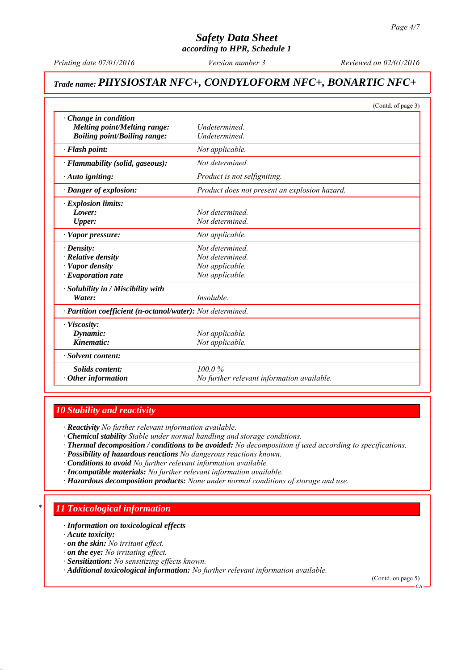*Printing date 07/01/2016 Reviewed on 02/01/2016 Version number 3*

# *Trade name: PHYSIOSTAR NFC+, CONDYLOFORM NFC+, BONARTIC NFC+*

|                                                                                                            | (Contd. of page 3)                                                      |
|------------------------------------------------------------------------------------------------------------|-------------------------------------------------------------------------|
| Change in condition<br>Melting point/Melting range:<br><b>Boiling point/Boiling range:</b>                 | Undetermined.<br>Undetermined.                                          |
| · Flash point:                                                                                             | Not applicable.                                                         |
| · Flammability (solid, gaseous):                                                                           | Not determined                                                          |
| · Auto igniting:                                                                                           | Product is not selfigniting.                                            |
| · Danger of explosion:                                                                                     | Product does not present an explosion hazard.                           |
| $\cdot$ Explosion limits:<br>Lower:<br><b>Upper:</b>                                                       | Not determined<br>Not determined.                                       |
| $\cdot$ Vapor pressure:                                                                                    | Not applicable.                                                         |
| $\cdot$ Density:<br>$\cdot$ Relative density<br>· Vapor density<br>$\cdot$ Evaporation rate                | Not determined.<br>Not determined<br>Not applicable.<br>Not applicable. |
| · Solubility in / Miscibility with<br>Water:<br>· Partition coefficient (n-octanol/water): Not determined. | Insoluble.                                                              |
| · Viscosity:<br>Dynamic:<br>Kinematic:                                                                     | Not applicable.<br>Not applicable.                                      |
| · Solvent content:                                                                                         |                                                                         |
| Solids content:<br>$\cdot$ Other information                                                               | 100.0%<br>No further relevant information available.                    |

### *10 Stability and reactivity*

*∙ Reactivity No further relevant information available.*

- *∙ Chemical stability Stable under normal handling and storage conditions.*
- *∙ Thermal decomposition / conditions to be avoided: No decomposition if used according to specifications.*
- *∙ Possibility of hazardous reactions No dangerous reactions known.*
- *∙ Conditions to avoid No further relevant information available.*
- *∙ Incompatible materials: No further relevant information available.*
- *∙ Hazardous decomposition products: None under normal conditions of storage and use.*

## *\* 11 Toxicological information*

*∙ Information on toxicological effects*

*∙ Acute toxicity:*

- *∙ on the skin: No irritant effect.*
- *∙ on the eye: No irritating effect.*
- *∙ Sensitization: No sensitizing effects known.*
- *∙ Additional toxicological information: No further relevant information available.*

(Contd. on page 5)

CA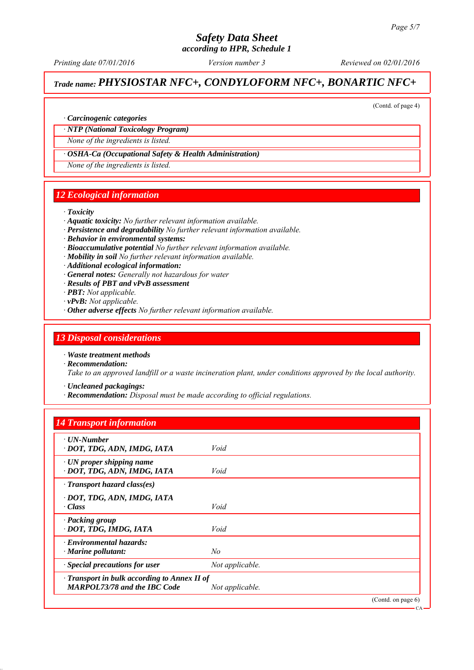# *Safety Data Sheet*

*according to HPR, Schedule 1*

*Printing date 07/01/2016 Reviewed on 02/01/2016 Version number 3*

## *Trade name: PHYSIOSTAR NFC+, CONDYLOFORM NFC+, BONARTIC NFC+*

(Contd. of page 4)

#### *∙ Carcinogenic categories*

#### *∙ NTP (National Toxicology Program)*

*None of the ingredients is listed.*

#### *∙ OSHA-Ca (Occupational Safety & Health Administration)*

*None of the ingredients is listed.*

#### *12 Ecological information*

#### *∙ Toxicity*

- *∙ Aquatic toxicity: No further relevant information available.*
- *∙ Persistence and degradability No further relevant information available.*
- *∙ Behavior in environmental systems:*
- *∙ Bioaccumulative potential No further relevant information available.*
- *∙ Mobility in soil No further relevant information available.*
- *∙ Additional ecological information:*
- *∙ General notes: Generally not hazardous for water*
- *∙ Results of PBT and vPvB assessment*
- *∙ PBT: Not applicable.*
- *∙ vPvB: Not applicable.*
- *∙ Other adverse effects No further relevant information available.*

#### *13 Disposal considerations*

*∙ Waste treatment methods*

- *∙ Recommendation: Take to an approved landfill or a waste incineration plant, under conditions approved by the local authority.*
	- *∙ Uncleaned packagings:*
	- *∙ Recommendation: Disposal must be made according to official regulations.*

### *14 Transport information*

| $\cdot$ UN-Number<br>· DOT, TDG, ADN, IMDG, IATA                                          | Void            |                   |
|-------------------------------------------------------------------------------------------|-----------------|-------------------|
| $\cdot$ UN proper shipping name<br>· DOT, TDG, ADN, IMDG, IATA                            | Void            |                   |
| $\cdot$ Transport hazard class(es)                                                        |                 |                   |
| · DOT, TDG, ADN, IMDG, IATA<br>$\cdot$ Class                                              | Void            |                   |
| · Packing group<br>· DOT, TDG, IMDG, IATA                                                 | Void            |                   |
| $\cdot$ Environmental hazards:<br>$\cdot$ Marine pollutant:                               | No              |                   |
| · Special precautions for user                                                            | Not applicable. |                   |
| $\cdot$ Transport in bulk according to Annex II of<br><b>MARPOL73/78 and the IBC Code</b> | Not applicable. |                   |
|                                                                                           |                 | (Cond. on page 6) |

CA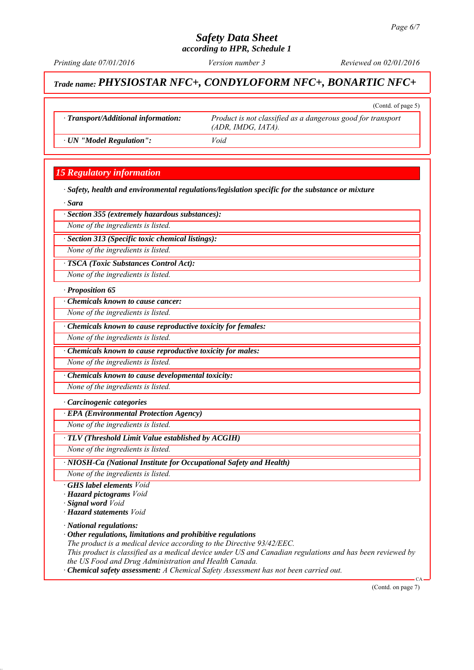(Contd. of page 5)

#### *Safety Data Sheet according to HPR, Schedule 1*

*Printing date 07/01/2016 Reviewed on 02/01/2016 Version number 3*

## *Trade name: PHYSIOSTAR NFC+, CONDYLOFORM NFC+, BONARTIC NFC+*

*∙ Transport/Additional information: Product is not classified as a dangerous good for transport (ADR, IMDG, IATA).*

*∙ UN "Model Regulation": Void*

## *15 Regulatory information*

*∙ Safety, health and environmental regulations/legislation specific for the substance or mixture*

*∙ Sara*

*∙ Section 355 (extremely hazardous substances):*

*None of the ingredients is listed.*

*∙ Section 313 (Specific toxic chemical listings):*

*None of the ingredients is listed.*

*∙ TSCA (Toxic Substances Control Act):*

*None of the ingredients is listed.*

*∙ Proposition 65*

*∙ Chemicals known to cause cancer:*

*None of the ingredients is listed.*

*∙ Chemicals known to cause reproductive toxicity for females:*

*None of the ingredients is listed.*

*∙ Chemicals known to cause reproductive toxicity for males:*

*None of the ingredients is listed.*

*∙ Chemicals known to cause developmental toxicity:*

*None of the ingredients is listed.*

*∙ Carcinogenic categories*

*∙ EPA (Environmental Protection Agency)*

*None of the ingredients is listed.*

*∙ TLV (Threshold Limit Value established by ACGIH)*

*None of the ingredients is listed.*

*∙ NIOSH-Ca (National Institute for Occupational Safety and Health)*

*None of the ingredients is listed.*

- *∙ GHS label elements Void*
- *∙ Hazard pictograms Void*

*∙ Signal word Void*

*∙ Hazard statements Void*

*∙ National regulations:*

*∙ Other regulations, limitations and prohibitive regulations*

*The product is a medical device according to the Directive 93/42/EEC.*

*This product is classified as a medical device under US and Canadian regulations and has been reviewed by the US Food and Drug Administration and Health Canada.*

*∙ Chemical safety assessment: A Chemical Safety Assessment has not been carried out.*

(Contd. on page 7)

CA